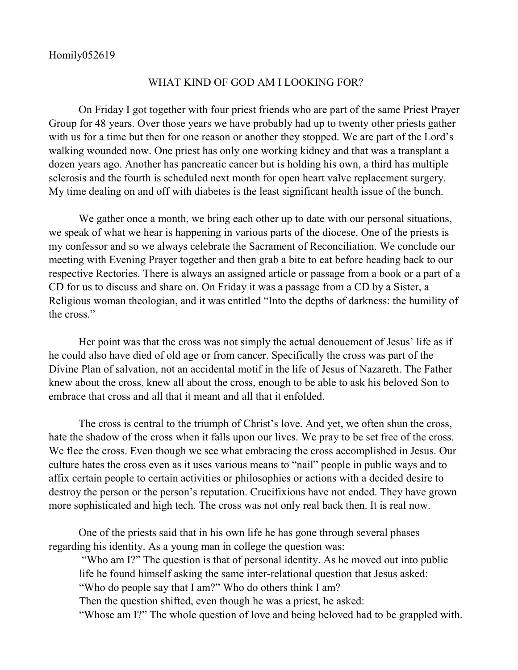## WHAT KIND OF GOD AM I LOOKING FOR?

On Friday I got together with four priest friends who are part of the same Priest Prayer Group for 48 years. Over those years we have probably had up to twenty other priests gather with us for a time but then for one reason or another they stopped. We are part of the Lord's walking wounded now. One priest has only one working kidney and that was a transplant a dozen years ago. Another has pancreatic cancer but is holding his own, a third has multiple sclerosis and the fourth is scheduled next month for open heart valve replacement surgery. My time dealing on and off with diabetes is the least significant health issue of the bunch.

We gather once a month, we bring each other up to date with our personal situations, we speak of what we hear is happening in various parts of the diocese. One of the priests is my confessor and so we always celebrate the Sacrament of Reconciliation. We conclude our meeting with Evening Prayer together and then grab a bite to eat before heading back to our respective Rectories. There is always an assigned article or passage from a book or a part of a CD for us to discuss and share on. On Friday it was a passage from a CD by a Sister, a Religious woman theologian, and it was entitled "Into the depths of darkness: the humility of the cross."

Her point was that the cross was not simply the actual denouement of Jesus' life as if he could also have died of old age or from cancer. Specifically the cross was part of the Divine Plan of salvation, not an accidental motif in the life of Jesus of Nazareth. The Father knew about the cross, knew all about the cross, enough to be able to ask his beloved Son to embrace that cross and all that it meant and all that it enfolded.

The cross is central to the triumph of Christ's love. And yet, we often shun the cross, hate the shadow of the cross when it falls upon our lives. We pray to be set free of the cross. We flee the cross. Even though we see what embracing the cross accomplished in Jesus. Our culture hates the cross even as it uses various means to "nail" people in public ways and to affix certain people to certain activities or philosophies or actions with a decided desire to destroy the person or the person's reputation. Crucifixions have not ended. They have grown more sophisticated and high tech. The cross was not only real back then. It is real now.

One of the priests said that in his own life he has gone through several phases regarding his identity. As a young man in college the question was:

"Who am I?" The question is that of personal identity. As he moved out into public life he found himself asking the same inter-relational question that Jesus asked: "Who do people say that I am?" Who do others think I am? Then the question shifted, even though he was a priest, he asked:

"Whose am I?" The whole question of love and being beloved had to be grappled with.